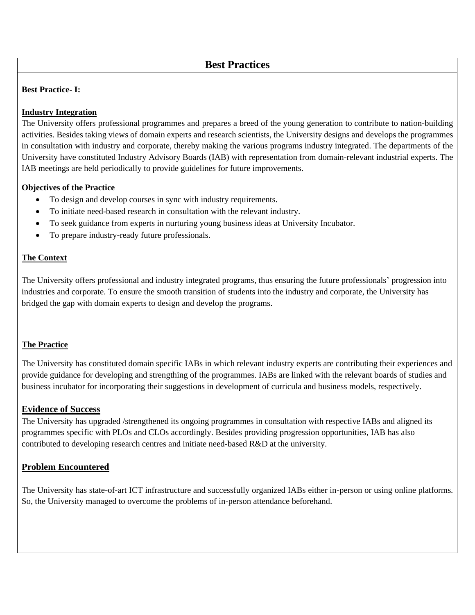# **Best Practices**

### **Best Practice- I:**

### **Industry Integration**

The University offers professional programmes and prepares a breed of the young generation to contribute to nation-building activities. Besides taking views of domain experts and research scientists, the University designs and develops the programmes in consultation with industry and corporate, thereby making the various programs industry integrated. The departments of the University have constituted Industry Advisory Boards (IAB) with representation from domain-relevant industrial experts. The IAB meetings are held periodically to provide guidelines for future improvements.

### **Objectives of the Practice**

- To design and develop courses in sync with industry requirements.
- To initiate need-based research in consultation with the relevant industry.
- To seek guidance from experts in nurturing young business ideas at University Incubator.
- To prepare industry-ready future professionals.

### **The Context**

The University offers professional and industry integrated programs, thus ensuring the future professionals' progression into industries and corporate. To ensure the smooth transition of students into the industry and corporate, the University has bridged the gap with domain experts to design and develop the programs.

#### **The Practice**

The University has constituted domain specific IABs in which relevant industry experts are contributing their experiences and provide guidance for developing and strengthing of the programmes. IABs are linked with the relevant boards of studies and business incubator for incorporating their suggestions in development of curricula and business models, respectively.

# **Evidence of Success**

The University has upgraded /strengthened its ongoing programmes in consultation with respective IABs and aligned its programmes specific with PLOs and CLOs accordingly. Besides providing progression opportunities, IAB has also contributed to developing research centres and initiate need-based R&D at the university.

# **Problem Encountered**

The University has state-of-art ICT infrastructure and successfully organized IABs either in-person or using online platforms. So, the University managed to overcome the problems of in-person attendance beforehand.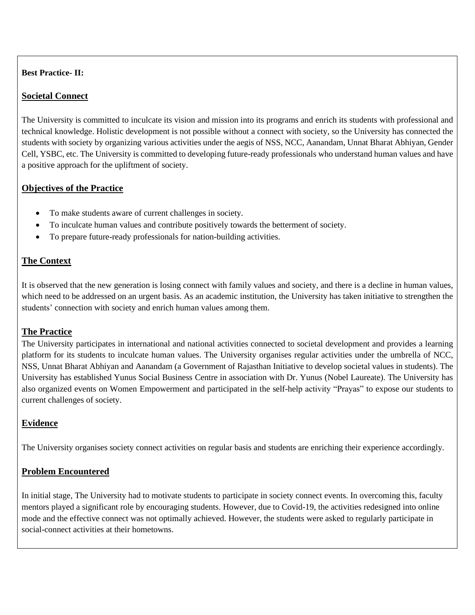### **Best Practice- II:**

# **Societal Connect**

The University is committed to inculcate its vision and mission into its programs and enrich its students with professional and technical knowledge. Holistic development is not possible without a connect with society, so the University has connected the students with society by organizing various activities under the aegis of NSS, NCC, Aanandam, Unnat Bharat Abhiyan, Gender Cell, YSBC, etc. The University is committed to developing future-ready professionals who understand human values and have a positive approach for the upliftment of society.

# **Objectives of the Practice**

- To make students aware of current challenges in society.
- To inculcate human values and contribute positively towards the betterment of society.
- To prepare future-ready professionals for nation-building activities.

# **The Context**

It is observed that the new generation is losing connect with family values and society, and there is a decline in human values, which need to be addressed on an urgent basis. As an academic institution, the University has taken initiative to strengthen the students' connection with society and enrich human values among them.

# **The Practice**

The University participates in international and national activities connected to societal development and provides a learning platform for its students to inculcate human values. The University organises regular activities under the umbrella of NCC, NSS, Unnat Bharat Abhiyan and Aanandam (a Government of Rajasthan Initiative to develop societal values in students). The University has established Yunus Social Business Centre in association with Dr. Yunus (Nobel Laureate). The University has also organized events on Women Empowerment and participated in the self-help activity "Prayas" to expose our students to current challenges of society.

# **Evidence**

The University organises society connect activities on regular basis and students are enriching their experience accordingly.

# **Problem Encountered**

In initial stage, The University had to motivate students to participate in society connect events. In overcoming this, faculty mentors played a significant role by encouraging students. However, due to Covid-19, the activities redesigned into online mode and the effective connect was not optimally achieved. However, the students were asked to regularly participate in social-connect activities at their hometowns.